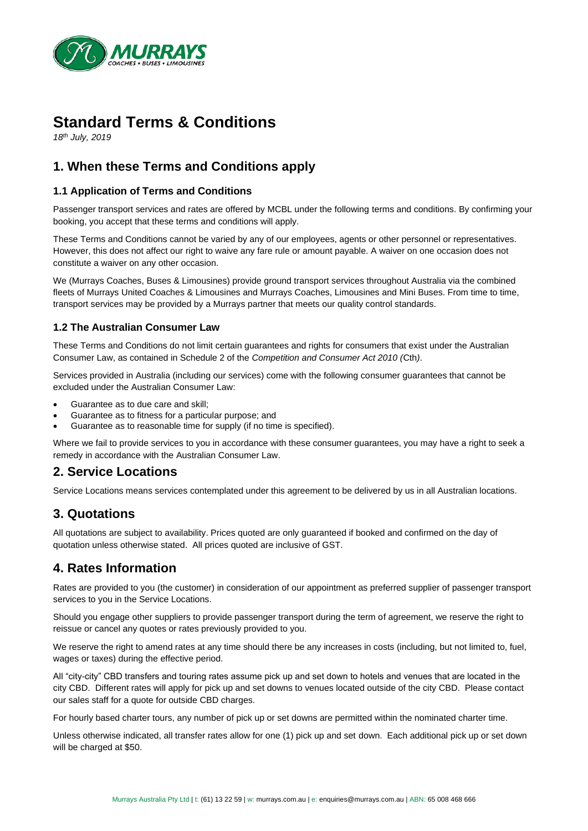

# **Standard Terms & Conditions**

*18th July, 2019*

# **1. When these Terms and Conditions apply**

#### **1.1 Application of Terms and Conditions**

Passenger transport services and rates are offered by MCBL under the following terms and conditions. By confirming your booking, you accept that these terms and conditions will apply.

These Terms and Conditions cannot be varied by any of our employees, agents or other personnel or representatives. However, this does not affect our right to waive any fare rule or amount payable. A waiver on one occasion does not constitute a waiver on any other occasion.

We (Murrays Coaches, Buses & Limousines) provide ground transport services throughout Australia via the combined fleets of Murrays United Coaches & Limousines and Murrays Coaches, Limousines and Mini Buses. From time to time, transport services may be provided by a Murrays partner that meets our quality control standards.

#### **1.2 The Australian Consumer Law**

These Terms and Conditions do not limit certain guarantees and rights for consumers that exist under the Australian Consumer Law, as contained in Schedule 2 of the *Competition and Consumer Act 2010 (*Cth*)*.

Services provided in Australia (including our services) come with the following consumer guarantees that cannot be excluded under the Australian Consumer Law:

- Guarantee as to due care and skill;
- Guarantee as to fitness for a particular purpose; and
- Guarantee as to reasonable time for supply (if no time is specified).

Where we fail to provide services to you in accordance with these consumer guarantees, you may have a right to seek a remedy in accordance with the Australian Consumer Law.

### **2. Service Locations**

Service Locations means services contemplated under this agreement to be delivered by us in all Australian locations.

# **3. Quotations**

All quotations are subject to availability. Prices quoted are only guaranteed if booked and confirmed on the day of quotation unless otherwise stated. All prices quoted are inclusive of GST.

#### **4. Rates Information**

Rates are provided to you (the customer) in consideration of our appointment as preferred supplier of passenger transport services to you in the Service Locations.

Should you engage other suppliers to provide passenger transport during the term of agreement, we reserve the right to reissue or cancel any quotes or rates previously provided to you.

We reserve the right to amend rates at any time should there be any increases in costs (including, but not limited to, fuel, wages or taxes) during the effective period.

All "city-city" CBD transfers and touring rates assume pick up and set down to hotels and venues that are located in the city CBD. Different rates will apply for pick up and set downs to venues located outside of the city CBD. Please contact our sales staff for a quote for outside CBD charges.

For hourly based charter tours, any number of pick up or set downs are permitted within the nominated charter time.

Unless otherwise indicated, all transfer rates allow for one (1) pick up and set down. Each additional pick up or set down will be charged at \$50.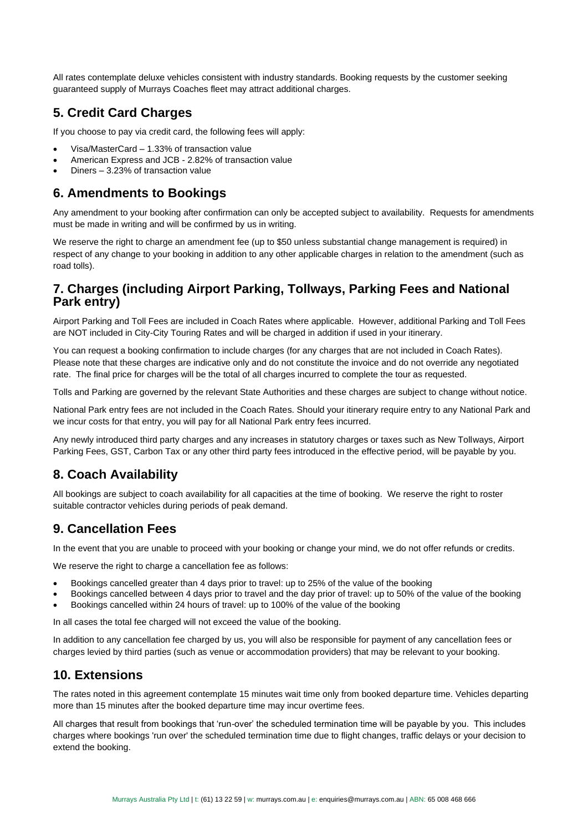All rates contemplate deluxe vehicles consistent with industry standards. Booking requests by the customer seeking guaranteed supply of Murrays Coaches fleet may attract additional charges.

# **5. Credit Card Charges**

If you choose to pay via credit card, the following fees will apply:

- Visa/MasterCard 1.33% of transaction value
- American Express and JCB 2.82% of transaction value
- Diners 3.23% of transaction value

#### **6. Amendments to Bookings**

Any amendment to your booking after confirmation can only be accepted subject to availability. Requests for amendments must be made in writing and will be confirmed by us in writing.

We reserve the right to charge an amendment fee (up to \$50 unless substantial change management is required) in respect of any change to your booking in addition to any other applicable charges in relation to the amendment (such as road tolls).

### **7. Charges (including Airport Parking, Tollways, Parking Fees and National Park entry)**

Airport Parking and Toll Fees are included in Coach Rates where applicable. However, additional Parking and Toll Fees are NOT included in City-City Touring Rates and will be charged in addition if used in your itinerary.

You can request a booking confirmation to include charges (for any charges that are not included in Coach Rates). Please note that these charges are indicative only and do not constitute the invoice and do not override any negotiated rate. The final price for charges will be the total of all charges incurred to complete the tour as requested.

Tolls and Parking are governed by the relevant State Authorities and these charges are subject to change without notice.

National Park entry fees are not included in the Coach Rates. Should your itinerary require entry to any National Park and we incur costs for that entry, you will pay for all National Park entry fees incurred.

Any newly introduced third party charges and any increases in statutory charges or taxes such as New Tollways, Airport Parking Fees, GST, Carbon Tax or any other third party fees introduced in the effective period, will be payable by you.

### **8. Coach Availability**

All bookings are subject to coach availability for all capacities at the time of booking. We reserve the right to roster suitable contractor vehicles during periods of peak demand.

### **9. Cancellation Fees**

In the event that you are unable to proceed with your booking or change your mind, we do not offer refunds or credits.

We reserve the right to charge a cancellation fee as follows:

- Bookings cancelled greater than 4 days prior to travel: up to 25% of the value of the booking
- Bookings cancelled between 4 days prior to travel and the day prior of travel: up to 50% of the value of the booking
- Bookings cancelled within 24 hours of travel: up to 100% of the value of the booking

In all cases the total fee charged will not exceed the value of the booking.

In addition to any cancellation fee charged by us, you will also be responsible for payment of any cancellation fees or charges levied by third parties (such as venue or accommodation providers) that may be relevant to your booking.

#### **10. Extensions**

The rates noted in this agreement contemplate 15 minutes wait time only from booked departure time. Vehicles departing more than 15 minutes after the booked departure time may incur overtime fees.

All charges that result from bookings that 'run-over' the scheduled termination time will be payable by you. This includes charges where bookings 'run over' the scheduled termination time due to flight changes, traffic delays or your decision to extend the booking.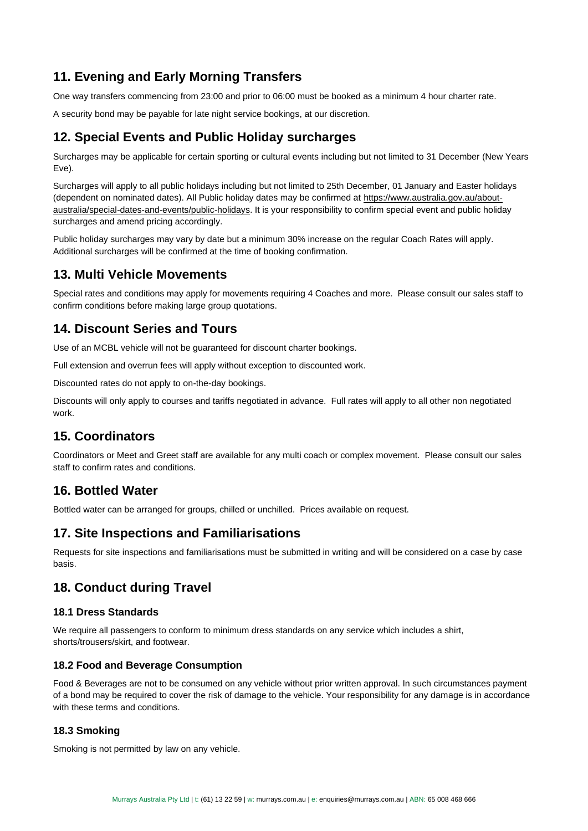# **11. Evening and Early Morning Transfers**

One way transfers commencing from 23:00 and prior to 06:00 must be booked as a minimum 4 hour charter rate.

A security bond may be payable for late night service bookings, at our discretion.

### **12. Special Events and Public Holiday surcharges**

Surcharges may be applicable for certain sporting or cultural events including but not limited to 31 December (New Years Eve).

Surcharges will apply to all public holidays including but not limited to 25th December, 01 January and Easter holidays (dependent on nominated dates). All Public holiday dates may be confirmed at https://www.australia.gov.au/aboutaustralia/special-dates-and-events/public-holidays. It is your responsibility to confirm special event and public holiday surcharges and amend pricing accordingly.

Public holiday surcharges may vary by date but a minimum 30% increase on the regular Coach Rates will apply. Additional surcharges will be confirmed at the time of booking confirmation.

### **13. Multi Vehicle Movements**

Special rates and conditions may apply for movements requiring 4 Coaches and more. Please consult our sales staff to confirm conditions before making large group quotations.

# **14. Discount Series and Tours**

Use of an MCBL vehicle will not be guaranteed for discount charter bookings.

Full extension and overrun fees will apply without exception to discounted work.

Discounted rates do not apply to on-the-day bookings.

Discounts will only apply to courses and tariffs negotiated in advance. Full rates will apply to all other non negotiated work.

### **15. Coordinators**

Coordinators or Meet and Greet staff are available for any multi coach or complex movement. Please consult our sales staff to confirm rates and conditions.

### **16. Bottled Water**

Bottled water can be arranged for groups, chilled or unchilled. Prices available on request.

### **17. Site Inspections and Familiarisations**

Requests for site inspections and familiarisations must be submitted in writing and will be considered on a case by case basis.

#### **18. Conduct during Travel**

#### **18.1 Dress Standards**

We require all passengers to conform to minimum dress standards on any service which includes a shirt, shorts/trousers/skirt, and footwear.

#### **18.2 Food and Beverage Consumption**

Food & Beverages are not to be consumed on any vehicle without prior written approval. In such circumstances payment of a bond may be required to cover the risk of damage to the vehicle. Your responsibility for any damage is in accordance with these terms and conditions.

#### **18.3 Smoking**

Smoking is not permitted by law on any vehicle.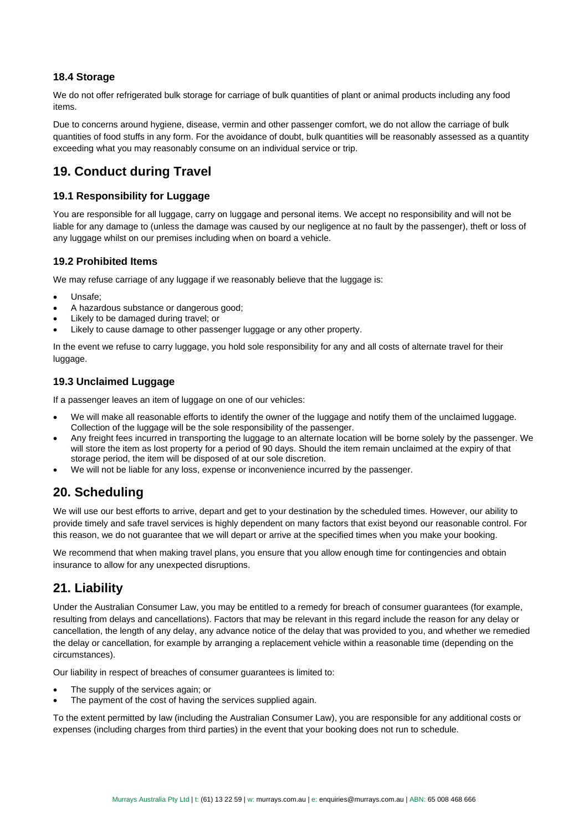#### **18.4 Storage**

We do not offer refrigerated bulk storage for carriage of bulk quantities of plant or animal products including any food items.

Due to concerns around hygiene, disease, vermin and other passenger comfort, we do not allow the carriage of bulk quantities of food stuffs in any form. For the avoidance of doubt, bulk quantities will be reasonably assessed as a quantity exceeding what you may reasonably consume on an individual service or trip.

# **19. Conduct during Travel**

#### **19.1 Responsibility for Luggage**

You are responsible for all luggage, carry on luggage and personal items. We accept no responsibility and will not be liable for any damage to (unless the damage was caused by our negligence at no fault by the passenger), theft or loss of any luggage whilst on our premises including when on board a vehicle.

#### **19.2 Prohibited Items**

We may refuse carriage of any luggage if we reasonably believe that the luggage is:

- Unsafe;
- A hazardous substance or dangerous good;
- Likely to be damaged during travel; or
- Likely to cause damage to other passenger luggage or any other property.

In the event we refuse to carry luggage, you hold sole responsibility for any and all costs of alternate travel for their luggage.

#### **19.3 Unclaimed Luggage**

If a passenger leaves an item of luggage on one of our vehicles:

- We will make all reasonable efforts to identify the owner of the luggage and notify them of the unclaimed luggage. Collection of the luggage will be the sole responsibility of the passenger.
- Any freight fees incurred in transporting the luggage to an alternate location will be borne solely by the passenger. We will store the item as lost property for a period of 90 days. Should the item remain unclaimed at the expiry of that storage period, the item will be disposed of at our sole discretion.
- We will not be liable for any loss, expense or inconvenience incurred by the passenger.

# **20. Scheduling**

We will use our best efforts to arrive, depart and get to your destination by the scheduled times. However, our ability to provide timely and safe travel services is highly dependent on many factors that exist beyond our reasonable control. For this reason, we do not guarantee that we will depart or arrive at the specified times when you make your booking.

We recommend that when making travel plans, you ensure that you allow enough time for contingencies and obtain insurance to allow for any unexpected disruptions.

### **21. Liability**

Under the Australian Consumer Law, you may be entitled to a remedy for breach of consumer guarantees (for example, resulting from delays and cancellations). Factors that may be relevant in this regard include the reason for any delay or cancellation, the length of any delay, any advance notice of the delay that was provided to you, and whether we remedied the delay or cancellation, for example by arranging a replacement vehicle within a reasonable time (depending on the circumstances).

Our liability in respect of breaches of consumer guarantees is limited to:

- The supply of the services again; or
- The payment of the cost of having the services supplied again.

To the extent permitted by law (including the Australian Consumer Law), you are responsible for any additional costs or expenses (including charges from third parties) in the event that your booking does not run to schedule.